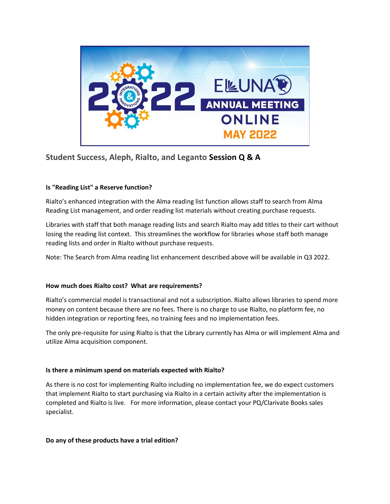

# **Student Success, Aleph, Rialto, and Leganto Session Q & A**

# **Is "Reading List" a Reserve function?**

Rialto's enhanced integration with the Alma reading list function allows staff to search from Alma Reading List management, and order reading list materials without creating purchase requests.

Libraries with staff that both manage reading lists and search Rialto may add titles to their cart without losing the reading list context. This streamlines the workflow for libraries whose staff both manage reading lists and order in Rialto without purchase requests.

Note: The Search from Alma reading list enhancement described above will be available in Q3 2022.

### **How much does Rialto cost? What are requirements?**

Rialto's commercial model is transactional and not a subscription. Rialto allows libraries to spend more money on content because there are no fees. There is no charge to use Rialto, no platform fee, no hidden integration or reporting fees, no training fees and no implementation fees.

The only pre-requisite for using Rialto is that the Library currently has Alma or will implement Alma and utilize Alma acquisition component.

### **Is there a minimum spend on materials expected with Rialto?**

As there is no cost for implementing Rialto including no implementation fee, we do expect customers that implement Rialto to start purchasing via Rialto in a certain activity after the implementation is completed and Rialto is live. For more information, please contact your PQ/Clarivate Books sales specialist.

### **Do any of these products have a trial edition?**